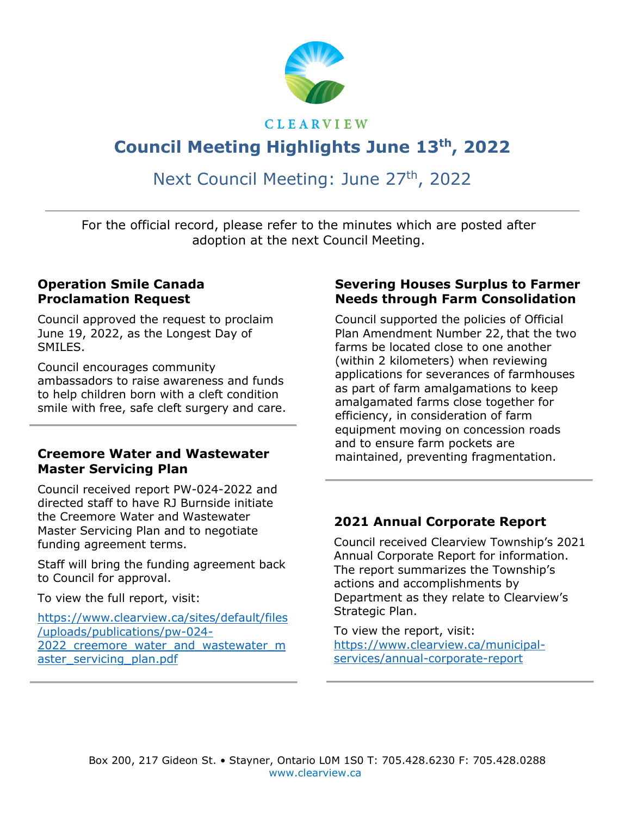

#### **CLEARVIEW**

# **Council Meeting Highlights June 13th , 2022**

## Next Council Meeting: June 27<sup>th</sup>, 2022

For the official record, please refer to the minutes which are posted after adoption at the next Council Meeting.

#### **Operation Smile Canada Proclamation Request**

Council approved the request to proclaim June 19, 2022, as the Longest Day of SMILES.

Council encourages community ambassadors to raise awareness and funds to help children born with a cleft condition smile with free, safe cleft surgery and care.

#### **Creemore Water and Wastewater Master Servicing Plan**

Council received report PW-024-2022 and directed staff to have RJ Burnside initiate the Creemore Water and Wastewater Master Servicing Plan and to negotiate funding agreement terms.

Staff will bring the funding agreement back to Council for approval.

To view the full report, visit:

[https://www.clearview.ca/sites/default/files](https://www.clearview.ca/sites/default/files/uploads/publications/pw-024-2022_creemore_water_and_wastewater_master_servicing_plan.pdf) [/uploads/publications/pw-024-](https://www.clearview.ca/sites/default/files/uploads/publications/pw-024-2022_creemore_water_and_wastewater_master_servicing_plan.pdf) 2022 creemore water and wastewater m aster servicing plan.pdf

#### **Severing Houses Surplus to Farmer Needs through Farm Consolidation**

Council supported the policies of Official Plan Amendment Number 22, that the two farms be located close to one another (within 2 kilometers) when reviewing applications for severances of farmhouses as part of farm amalgamations to keep amalgamated farms close together for efficiency, in consideration of farm equipment moving on concession roads and to ensure farm pockets are maintained, preventing fragmentation.

#### **2021 Annual Corporate Report**

Council received Clearview Township's 2021 Annual Corporate Report for information. The report summarizes the Township's actions and accomplishments by Department as they relate to Clearview's Strategic Plan.

To view the report, visit: [https://www.clearview.ca/municipal](https://www.clearview.ca/municipal-services/annual-corporate-report)[services/annual-corporate-report](https://www.clearview.ca/municipal-services/annual-corporate-report)